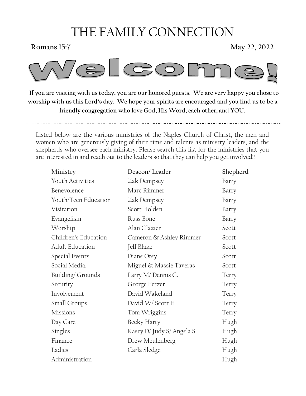# THE FAMILY CONNECTION

**Romans 15:7** May 22, 2022



 **If you are visiting with us today, you are our honored guests. We are very happy you chose to worship with us this Lord's day. We hope your spirits are encouraged and you find us to be a friendly congregation who love God, His Word, each other, and YOU.** 

Listed below are the various ministries of the Naples Church of Christ, the men and women who are generously giving of their time and talents as ministry leaders, and the shepherds who oversee each ministry. Please search this list for the ministries that you are interested in and reach out to the leaders so that they can help you get involved!!

| Ministry                | Deacon/Leader              | Shepherd |
|-------------------------|----------------------------|----------|
| <b>Youth Activities</b> | Zak Dempsey                | Barry    |
| Benevolence             | Marc Rimmer                | Barry    |
| Youth/Teen Education    | Zak Dempsey                | Barry    |
| Visitation              | Scott Holden               | Barry    |
| Evangelism              | Russ Bone                  | Barry    |
| Worship                 | Alan Glazier               | Scott    |
| Children's Education    | Cameron & Ashley Rimmer    | Scott    |
| <b>Adult Education</b>  | Jeff Blake                 | Scott    |
| Special Events          | Diane Otey                 | Scott    |
| Social Media.           | Miguel & Massie Taveras    | Scott    |
| Building/Grounds        | Larry M/ Dennis C.         | Terry    |
| Security                | George Fetzer              | Terry    |
| Involvement             | David Wakeland             | Terry    |
| Small Groups            | David W/Scott H            | Terry    |
| <b>Missions</b>         | Tom Wriggins               | Terry    |
| Day Care                | Becky Harty                | Hugh     |
| Singles                 | Kasey D/ Judy S/ Angela S. | Hugh     |
| Finance                 | Drew Meulenberg            | Hugh     |
| Ladies                  | Carla Sledge               | Hugh     |
| Administration          |                            | Hugh     |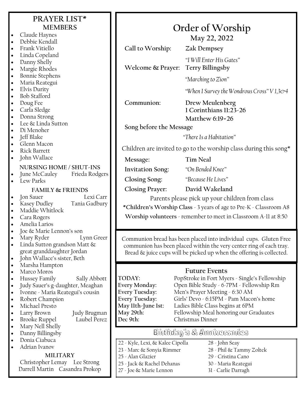| PRAYER LIST*                                                                  |                                                                      |                                                                                             |  |  |
|-------------------------------------------------------------------------------|----------------------------------------------------------------------|---------------------------------------------------------------------------------------------|--|--|
| <b>MEMBERS</b>                                                                | Order of Worship                                                     |                                                                                             |  |  |
| Claude Haynes<br>$\bullet$<br>Debbie Kendall                                  | May 22, 2022                                                         |                                                                                             |  |  |
| $\bullet$<br>Frank Vitiello<br>$\bullet$                                      | Call to Worship:                                                     | Zak Dempsey                                                                                 |  |  |
| Linda Copeland<br>$\bullet$                                                   |                                                                      |                                                                                             |  |  |
| Danny Shelly<br>$\bullet$                                                     |                                                                      | "I Will Enter His Gates"                                                                    |  |  |
| Margie Rhodes<br>$\bullet$                                                    | <b>Terry Billingsby</b><br>Welcome & Prayer:                         |                                                                                             |  |  |
| <b>Bonnie Stephens</b><br>$\bullet$<br>Maria Reategui<br>$\bullet$            |                                                                      | "Marching to Zion"                                                                          |  |  |
| <b>Elvis Durity</b><br>$\bullet$                                              |                                                                      | "When I Survey the Wondrous Cross" V1,3&4                                                   |  |  |
| <b>Bob Stafford</b><br>$\bullet$                                              |                                                                      |                                                                                             |  |  |
| Doug Fee<br>$\bullet$                                                         | Communion:                                                           | Drew Meulenberg                                                                             |  |  |
| Carla Sledge<br>$\bullet$<br>Donna Strong<br>$\bullet$                        |                                                                      | 1 Corinthians 11:23-26                                                                      |  |  |
| Lee & Linda Sutton<br>$\bullet$                                               |                                                                      | Matthew 6:19=26                                                                             |  |  |
| Di Menoher<br>$\bullet$                                                       | Song before the Message                                              |                                                                                             |  |  |
| Jeff Blake<br>$\bullet$                                                       | "There Is a Habitation"                                              |                                                                                             |  |  |
| Glenn Macon<br>$\bullet$<br><b>Rick Barrett</b>                               | Children are invited to go to the worship class during this song*    |                                                                                             |  |  |
| John Wallace                                                                  | Message:                                                             | <b>Tim Neal</b>                                                                             |  |  |
| NURSING HOME / SHUT-INS                                                       | <b>Invitation Song:</b>                                              | "On Bended Knee"                                                                            |  |  |
| Frieda Rodgers<br>June McCauley<br>Lew Parks                                  | <b>Closing Song:</b>                                                 | "Because He Lives"                                                                          |  |  |
| <b>FAMILY &amp; FRIENDS</b>                                                   | <b>Closing Prayer:</b>                                               | David Wakeland                                                                              |  |  |
| Lexi Carr<br>Jon Sauer<br>$\bullet$                                           |                                                                      |                                                                                             |  |  |
| Kasey Dudley<br>Tania Gadbury<br>$\bullet$                                    | Parents please pick up your children from class                      |                                                                                             |  |  |
| Maddie Whitlock<br>$\bullet$                                                  |                                                                      | *Children's Worship Class - 3 years of age to Pre-K - Classroom A8                          |  |  |
| Cara Rogers<br>$\bullet$<br>Amelia Larios<br>$\bullet$                        |                                                                      | Worship volunteers - remember to meet in Classroom A-11 at 8:50                             |  |  |
| Joe & Marie Lennon's son                                                      |                                                                      |                                                                                             |  |  |
| Mary Ryder<br>Lynn Greer<br>$\bullet$                                         |                                                                      | Communion bread has been placed into individual cups. Gluten Free                           |  |  |
| Linda Sutton grandson Matt &<br>$\bullet$                                     |                                                                      | communion has been placed within the very center ring of each tray.                         |  |  |
| great granddaughter Jordan<br>John Wallace's sister, Beth                     | Bread & juice cups will be picked up when the offering is collected. |                                                                                             |  |  |
| $\bullet$<br>Marsha Hampton<br>$\bullet$                                      |                                                                      |                                                                                             |  |  |
| Marco Moros<br>$\bullet$                                                      |                                                                      | <b>Future Events</b>                                                                        |  |  |
| Hussey Family<br>Sally Abbott<br>$\bullet$                                    | TODAY:                                                               | PopStroke in Fort Myers - Single's Fellowship                                               |  |  |
| Judy Sauer's g-daughter, Meaghan<br>$\bullet$                                 | Every Monday:<br>Open Bible Study - 6-7PM - Fellowship Rm            |                                                                                             |  |  |
| Ivonne - Maria Reategui's cousin<br>$\bullet$<br>Robert Champion<br>$\bullet$ | Every Tuesday:                                                       | Every Tuesday:<br>Men's Prayer Meeting - 6:30 AM<br>Girls' Devo - 6:15PM - Pam Macon's home |  |  |
| Michael Presto<br>$\bullet$                                                   | May llth-June lst:<br>Ladies Bible Class begins at 6PM               |                                                                                             |  |  |
| Larry Brown<br>Judy Brugman<br>$\bullet$                                      | May 29th:<br>Fellowship Meal honoring our Graduates                  |                                                                                             |  |  |
| Laubel Perez<br><b>Brooke Ruppel</b><br>$\bullet$                             |                                                                      | Dec 9th:<br>Christmas Dinner                                                                |  |  |
| Mary Nell Shelly<br>$\bullet$<br>Danny Billingsby<br>$\bullet$                | Birthday's & Anniversaries                                           |                                                                                             |  |  |
| Donia Ciabuca<br>$\bullet$                                                    | 22 - Kyle, Lexi, & Kalee Cipolla                                     | 28 - John Seay                                                                              |  |  |
| Adrian Ivanov<br>$\bullet$                                                    | 23 - Marc & Sonyia Rimmer                                            | 28 - Phil & Tammy Zoltek                                                                    |  |  |
| <b>MILITARY</b>                                                               | 25 - Alan Glazier<br>29 - Cristina Cano                              |                                                                                             |  |  |
| Christopher Lemay Lee Strong<br>Darrell Martin Casandra Prokop                | 25 - Jack & Rachel Dehanas<br>30 - Maria Reategui                    |                                                                                             |  |  |
|                                                                               | 27 - Joe & Marie Lennon                                              | 31 - Carlie Darragh                                                                         |  |  |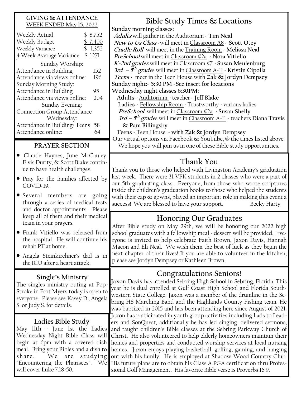### **GIVING & ATTENDANCE WEEK ENDED May 15, 2022**

| Weekly Actual<br>\$          | 8,752   |  |  |
|------------------------------|---------|--|--|
| Weekly Budget                | \$7,400 |  |  |
| \$<br>Weekly Variance        | 1,352   |  |  |
| 4 Week Average Variance      | \$1271  |  |  |
| Sunday Worship:              |         |  |  |
| Attendance in Building       | 152     |  |  |
| Attendance via views online: |         |  |  |
| Sunday Morning Study:        |         |  |  |
| Attendance in Building       |         |  |  |
| Attendance via views online: |         |  |  |
| Sunday Evening:              |         |  |  |
| Connection Group Attendance  |         |  |  |
| Wednesday:                   |         |  |  |
| Attendance in Building/Teens | 58      |  |  |
| Attendance online:           |         |  |  |

### **PRAYER SECTION**

- Claude Haynes, June McCauley, Elvis Durity, & Scott Blake continue to have health challenges.
- Pray for the families affected by COVID-19.
- Several members are going through a series of medical tests and doctor appointments. Please keep all of them and their medical team in your prayers.
- Frank Vitiello was released from the hospital. He will continue his rehab PT at home.
- Angela Steinkirchner's dad is in the ICU after a heart attack.

### **Single's Ministry**

The singles ministry outing at Pop-Stroke in Fort Myers today is open to everyone. Please see Kasey D., Angela S. or Judy S. for details.

### **Ladies Bible Study**

May 11th - June 1st the Ladies Wednesday Night Bible Class will begin at 6pm with a covered dish meal. Bring your Bibles and a dish to share. We are studying "Encountering the Pharisees". We will cover Luke 7:18-50.

## **Bible Study Times & Locations**

**Sunday morning classes:**

**Adults** will gather in the Auditorium - **Tim Neal New to Us Class -**will meet in Classroom A8 **- Scott Otey Cradle Roll** will meet in the Training Room - **Melissa Neal PreSchool** will meet inClassroom #2a - **Nora Vitiello K-2nd grades** will meet inClassroom #7 - **Susan Meulenburg 3rd – 5 th grade**s will meet in Classroom A-11 - **Kristin Cipolla Teens -** meet in the Teen House with **Zak & Jordyn Dempsey Sunday night:- 5:30 PM -See insert for locations Wednesday night classes 6:30PM: Adults** - Auditorium - teacher - **Jeff Blake** 

 **Ladies -** Fellowship Room - Trustworthy - various ladies **PreSchool** will meet inClassroom #2a - **Susan Shelly**

**3rd – 5 th grade**s will meet in Classroom A-11 - teachers **Diana Travis & Pam Billingsby** 

 **Teens** - Teen House - **with Zak & Jordyn Dempsey** Our virtual options via Facebook & YouTube, @ the times listed above.

We hope you will join us in one of these Bible study opportunities.

## **Thank You**

Thank you to those who helped with Livingston Academy's graduation last week. There were 31 VPK students in 2 classes who were a part of our 5th graduating class. Everyone, from those who wrote scriptures inside the children's graduation books to those who helped the students with their cap & gowns, played an important role in making this event a success! We are blessed to have your support. Becky Harty

## **Honoring Our Graduates**

After Bible study on May 29th, we will be honoring our 2022 high school graduates with a fellowship meal - dessert will be provided.. Everyone is invited to help celebrate Faith Brown, Jaxon Davis, Hannah Macon and Eli Neal. We wish them the best of luck as they begin the next chapter of their lives! If you are able to volunteer in the kitchen, please see Jordyn Dempsey or Kathleen Brown.

## **Congratulations Seniors!**

**Jaxon Davis** has attended Sebring High School in Sebring, Florida. This year he is dual enrolled at Gulf Coast High School and Florida Southwestern State College. Jaxon was a member of the drumline in the Sebring HS Marching Band and the Highlands County Fishing team. He was baptized in 2015 and has been attending here since August of 2021. Jaxon has participated in youth group activities including Lads to Leaders and SonQuest, additionally he has led singing, delivered sermons, and taught children's Bible classes at the Sebring Parkway Church of Christ. He also volunteered to help elderly homeowners maintain their homes and properties and conducted worship services at local nursing homes. Jaxon enjoys playing basketball, golfing, gaming, and hanging out with his family. He is employed at Shadow Wood Country Club. His future plans are to obtain his Class A PGA certification thru Professional Golf Management. His favorite Bible verse is Proverbs 16:9.